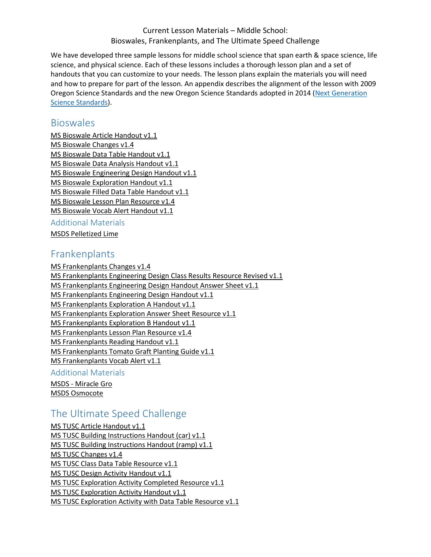### Current Lesson Materials – Middle School: Bioswales, Frankenplants, and The Ultimate Speed Challenge

We have developed three sample lessons for middle school science that span earth & space science, life science, and physical science. Each of these lessons includes a thorough lesson plan and a set of handouts that you can customize to your needs. The lesson plans explain the materials you will need and how to prepare for part of the lesson. An appendix describes the alignment of the lesson with 2009 Oregon Science Standards and the new Oregon Science Standards adopted in 2014 [\(Next Generation](http://www.nextgenscience.org/get-to-know)  [Science Standards\)](http://www.nextgenscience.org/get-to-know).

## **Bioswales**

[MS Bioswale Article Handout v1.1](http://www.oregon.gov/ode/educator-resources/standards/science/Documents/Current-Lesson-Materials-MS/ms-bioswale-vocab-alert-handout-v1.1.docx) [MS Bioswale Changes v1.4](http://www.oregon.gov/ode/educator-resources/standards/science/Documents/Current-Lesson-Materials-MS/ms-bioswale-changes-v1.4.docx) [MS Bioswale Data Table Handout v1.1](http://www.oregon.gov/ode/educator-resources/standards/science/Documents/Current-Lesson-Materials-MS/ms-bioswale-class-data-table-handout-v1.1.docx) [MS Bioswale Data Analysis Handout v1.1](http://www.oregon.gov/ode/educator-resources/standards/science/Documents/Current-Lesson-Materials-MS/ms-bioswale-data-analysis-handout-v1.1.docx) [MS Bioswale Engineering Design Handout v1.1](http://www.oregon.gov/ode/educator-resources/standards/science/Documents/Current-Lesson-Materials-MS/ms-bioswale-engineering-design-handout-v1.1.docx) [MS Bioswale Exploration Handout v1.1](http://www.oregon.gov/ode/educator-resources/standards/science/Documents/Current-Lesson-Materials-MS/ms-bioswale-exploration-handout-v1.1.docx) [MS Bioswale Filled Data Table Handout v1.1](http://www.oregon.gov/ode/educator-resources/standards/science/Documents/Current-Lesson-Materials-MS/ms-bioswale-filled-data-table-handout-v1.1.docx) [MS Bioswale Lesson Plan Resource v1.4](http://www.oregon.gov/ode/educator-resources/standards/science/Documents/Current-Lesson-Materials-MS/ms-bioswale-lesson-plan-resource-v1.4.docx) [MS Bioswale Vocab Alert Handout v1.1](http://www.oregon.gov/ode/educator-resources/standards/science/Documents/Current-Lesson-Materials-MS/ms-bioswale-vocab-alert-handout-v1.1.docx)

## Additional Materials

[MSDS Pelletized Lime](http://www.oregon.gov/ode/educator-resources/standards/science/Documents/Current-Lesson-Materials-MS/msds-pelletized-lime.pdf)

## Frankenplants

[MS Frankenplants Changes v1.4](http://www.oregon.gov/ode/educator-resources/standards/science/Documents/Current-Lesson-Materials-MS/ms-frankenplants-changes-v1.4.docx) [MS Frankenplants Engineering Design Class Results Resource Revised v1.1](http://www.oregon.gov/ode/educator-resources/standards/science/Documents/Current-Lesson-Materials-MS/ms-frankenplants-engineering-design-class-results-resource-revised-v1.1.docx) [MS Frankenplants Engineering Design Handout Answer Sheet v1.1](http://www.oregon.gov/ode/educator-resources/standards/science/Documents/Current-Lesson-Materials-MS/ms-frankenplants-engineering-design-handout-answer-sheet-v1.1.docx) [MS Frankenplants Engineering Design Handout v1.1](http://www.oregon.gov/ode/educator-resources/standards/science/Documents/Current-Lesson-Materials-MS/ms-frankenplants-engineering-design-handout-v1.1.docx) [MS Frankenplants Exploration A Handout v1.1](http://www.oregon.gov/ode/educator-resources/standards/science/Documents/Current-Lesson-Materials-MS/ms-frankenplants-exploration-a-handout-v1.1.docx) [MS Frankenplants Exploration Answer Sheet Resource v1.1](http://www.oregon.gov/ode/educator-resources/standards/science/Documents/Current-Lesson-Materials-MS/ms-frankenplants-exploration-answer-sheet-resource-v1.1.docx) [MS Frankenplants Exploration B Handout v1.1](http://www.oregon.gov/ode/educator-resources/standards/science/Documents/Current-Lesson-Materials-MS/ms-frankenplants-exploration-b-handout-v1.1.docx) [MS Frankenplants Lesson Plan Resource v1.4](http://www.oregon.gov/ode/educator-resources/standards/science/Documents/Current-Lesson-Materials-MS/ms-frankenplants-lesson-plan-resource-v1.4.docx) [MS Frankenplants Reading Handout v1.1](http://www.oregon.gov/ode/educator-resources/standards/science/Documents/Current-Lesson-Materials-MS/ms-frankenplants-reading--handout-v1.1.docx) [MS Frankenplants Tomato Graft Planting Guide v1.1](http://www.oregon.gov/ode/educator-resources/standards/science/Documents/Current-Lesson-Materials-MS/ms-frankenplants-tomato-graft-planting-guide-v1.1.docx) [MS Frankenplants Vocab Alert v1.1](http://www.oregon.gov/ode/educator-resources/standards/science/Documents/Current-Lesson-Materials-MS/ms-frankenplants-vocab-alert-v1.1.docx) Additional Materials

MSDS - [Miracle Gro](http://www.oregon.gov/ode/educator-resources/standards/science/Documents/Current-Lesson-Materials-MS/msds-miracle-gro.pdf) [MSDS Osmocote](http://www.oregon.gov/ode/educator-resources/standards/science/Documents/Current-Lesson-Materials-MS/msds-osmocote.pdf)

# The Ultimate Speed Challenge

[MS TUSC Article Handout v1.1](http://www.oregon.gov/ode/educator-resources/standards/science/Documents/Current-Lesson-Materials-MS/ms-tusc-article-handout-v1.1.docx) [MS TUSC Building Instructions Handout \(car\) v1.1](http://www.oregon.gov/ode/educator-resources/standards/science/Documents/Current-Lesson-Materials-MS/ms-tusc-building-instructions-handout-(car)-v1.1.docx) [MS TUSC Building Instructions Handout \(ramp\) v1.1](http://www.oregon.gov/ode/educator-resources/standards/science/Documents/Current-Lesson-Materials-MS/ms-tusc-building-instructions-handout-(ramp)-v1.1.docx) [MS TUSC Changes v1.4](http://www.oregon.gov/ode/educator-resources/standards/science/Documents/Current-Lesson-Materials-MS/ms-tusc-changes-v1.4.docx) [MS TUSC Class Data Table Resource v1.1](http://www.oregon.gov/ode/educator-resources/standards/science/Documents/Current-Lesson-Materials-MS/ms-tusc-class-data-table-resource-v1.1.docx) [MS TUSC Design Activity Handout v1.1](http://www.oregon.gov/ode/educator-resources/standards/science/Documents/Current-Lesson-Materials-MS/ms-tusc-design-activity-handout-v1.1.docx) [MS TUSC Exploration Activity Completed Resource v1.1](http://www.oregon.gov/ode/educator-resources/standards/science/Documents/Current-Lesson-Materials-MS/ms-tusc-exploration-activity-completed-resource-v1.1.docx) [MS TUSC Exploration Activity Handout v1.1](http://www.oregon.gov/ode/educator-resources/standards/science/Documents/Current-Lesson-Materials-MS/ms-tusc-exploration-activity-handout-v1.1.docx) [MS TUSC Exploration Activity with Data Table Resource v1.1](http://www.oregon.gov/ode/educator-resources/standards/science/Documents/Current-Lesson-Materials-MS/ms-tusc-exploration-activity-with-data-table-resource-v1.1.docx)